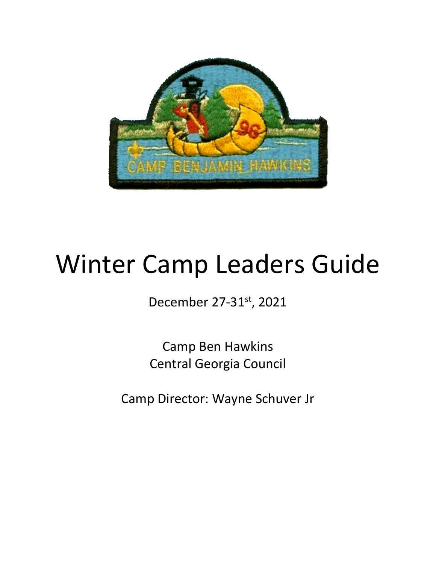

# Winter Camp Leaders Guide

December 27-31st, 2021

Camp Ben Hawkins Central Georgia Council

Camp Director: Wayne Schuver Jr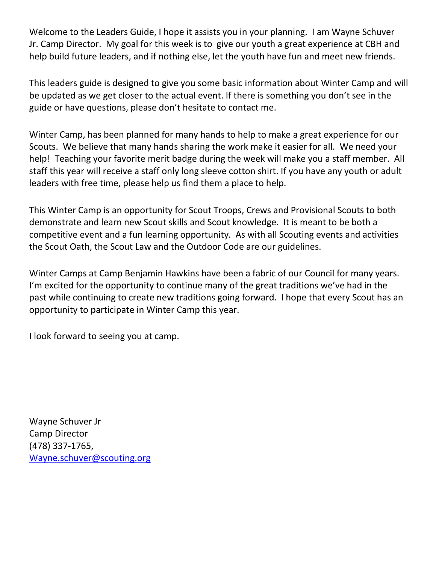Welcome to the Leaders Guide, I hope it assists you in your planning. I am Wayne Schuver Jr. Camp Director. My goal for this week is to give our youth a great experience at CBH and help build future leaders, and if nothing else, let the youth have fun and meet new friends.

This leaders guide is designed to give you some basic information about Winter Camp and will be updated as we get closer to the actual event. If there is something you don't see in the guide or have questions, please don't hesitate to contact me.

Winter Camp, has been planned for many hands to help to make a great experience for our Scouts. We believe that many hands sharing the work make it easier for all. We need your help! Teaching your favorite merit badge during the week will make you a staff member. All staff this year will receive a staff only long sleeve cotton shirt. If you have any youth or adult leaders with free time, please help us find them a place to help.

This Winter Camp is an opportunity for Scout Troops, Crews and Provisional Scouts to both demonstrate and learn new Scout skills and Scout knowledge. It is meant to be both a competitive event and a fun learning opportunity. As with all Scouting events and activities the Scout Oath, the Scout Law and the Outdoor Code are our guidelines.

Winter Camps at Camp Benjamin Hawkins have been a fabric of our Council for many years. I'm excited for the opportunity to continue many of the great traditions we've had in the past while continuing to create new traditions going forward. I hope that every Scout has an opportunity to participate in Winter Camp this year.

I look forward to seeing you at camp.

Wayne Schuver Jr Camp Director (478) 337-1765, [Wayne.schuver@scouting.org](mailto:Wayne.schuver@scouting.org)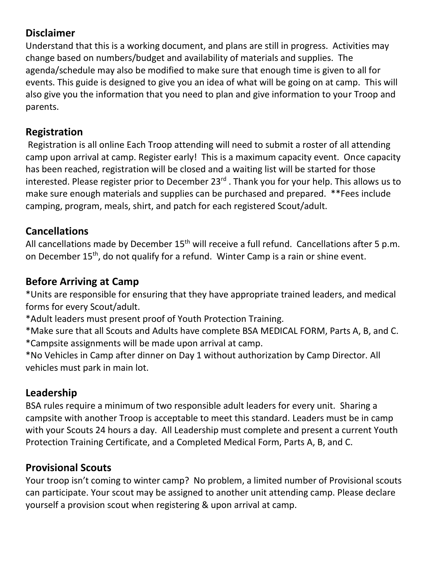#### **Disclaimer**

Understand that this is a working document, and plans are still in progress. Activities may change based on numbers/budget and availability of materials and supplies. The agenda/schedule may also be modified to make sure that enough time is given to all for events. This guide is designed to give you an idea of what will be going on at camp. This will also give you the information that you need to plan and give information to your Troop and parents.

#### **Registration**

Registration is all online Each Troop attending will need to submit a roster of all attending camp upon arrival at camp. Register early! This is a maximum capacity event. Once capacity has been reached, registration will be closed and a waiting list will be started for those interested. Please register prior to December 23<sup>rd</sup>. Thank you for your help. This allows us to make sure enough materials and supplies can be purchased and prepared. \*\*Fees include camping, program, meals, shirt, and patch for each registered Scout/adult.

#### **Cancellations**

All cancellations made by December  $15^{th}$  will receive a full refund. Cancellations after 5 p.m. on December 15<sup>th</sup>, do not qualify for a refund. Winter Camp is a rain or shine event.

#### **Before Arriving at Camp**

\*Units are responsible for ensuring that they have appropriate trained leaders, and medical forms for every Scout/adult.

\*Adult leaders must present proof of Youth Protection Training.

\*Make sure that all Scouts and Adults have complete BSA MEDICAL FORM, Parts A, B, and C. \*Campsite assignments will be made upon arrival at camp.

\*No Vehicles in Camp after dinner on Day 1 without authorization by Camp Director. All vehicles must park in main lot.

### **Leadership**

BSA rules require a minimum of two responsible adult leaders for every unit. Sharing a campsite with another Troop is acceptable to meet this standard. Leaders must be in camp with your Scouts 24 hours a day. All Leadership must complete and present a current Youth Protection Training Certificate, and a Completed Medical Form, Parts A, B, and C.

### **Provisional Scouts**

Your troop isn't coming to winter camp? No problem, a limited number of Provisional scouts can participate. Your scout may be assigned to another unit attending camp. Please declare yourself a provision scout when registering & upon arrival at camp.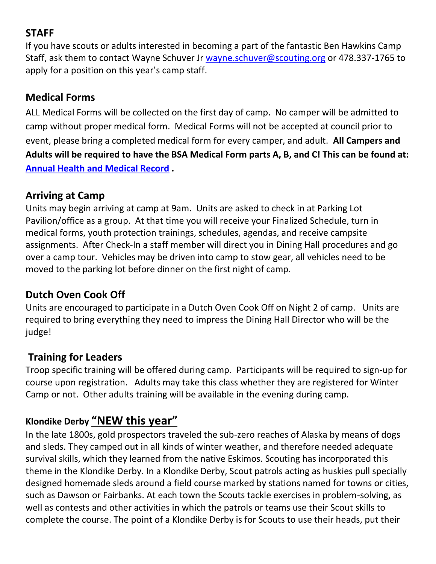### **STAFF**

If you have scouts or adults interested in becoming a part of the fantastic Ben Hawkins Camp Staff, ask them to contact Wayne Schuver Jr [wayne.schuver@scouting.org](mailto:wayne.schuver@scouting.org) or 478.337-1765 to apply for a position on this year's camp staff.

#### **Medical Forms**

ALL Medical Forms will be collected on the first day of camp. No camper will be admitted to camp without proper medical form. Medical Forms will not be accepted at council prior to event, please bring a completed medical form for every camper, and adult. **All Campers and Adults will be required to have the BSA Medical Form parts A, B, and C! This can be found at: [Annual Health and Medical Record](http://www.scouting.org/scoutsource/HealthandSafety/ahmr.aspx) .**

#### **Arriving at Camp**

Units may begin arriving at camp at 9am. Units are asked to check in at Parking Lot Pavilion/office as a group. At that time you will receive your Finalized Schedule, turn in medical forms, youth protection trainings, schedules, agendas, and receive campsite assignments. After Check-In a staff member will direct you in Dining Hall procedures and go over a camp tour. Vehicles may be driven into camp to stow gear, all vehicles need to be moved to the parking lot before dinner on the first night of camp.

#### **Dutch Oven Cook Off**

Units are encouraged to participate in a Dutch Oven Cook Off on Night 2 of camp. Units are required to bring everything they need to impress the Dining Hall Director who will be the judge!

#### **Training for Leaders**

Troop specific training will be offered during camp. Participants will be required to sign-up for course upon registration. Adults may take this class whether they are registered for Winter Camp or not. Other adults training will be available in the evening during camp.

#### **Klondike Derby "NEW this year"**

In the late 1800s, gold prospectors traveled the sub-zero reaches of Alaska by means of dogs and sleds. They camped out in all kinds of winter weather, and therefore needed adequate survival skills, which they learned from the native Eskimos. Scouting has incorporated this theme in the Klondike Derby. In a Klondike Derby, Scout patrols acting as huskies pull specially designed homemade sleds around a field course marked by stations named for towns or cities, such as Dawson or Fairbanks. At each town the Scouts tackle exercises in problem-solving, as well as contests and other activities in which the patrols or teams use their Scout skills to complete the course. The point of a Klondike Derby is for Scouts to use their heads, put their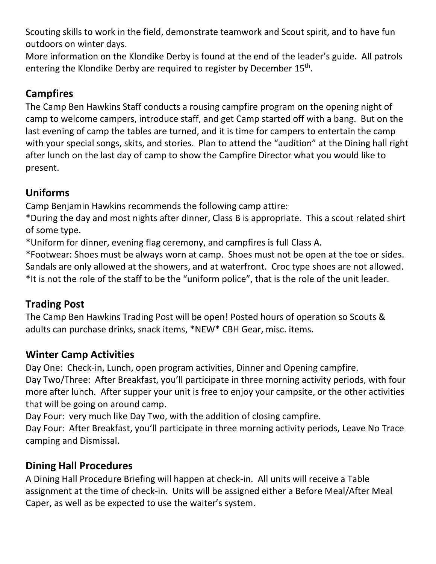Scouting skills to work in the field, demonstrate teamwork and Scout spirit, and to have fun outdoors on winter days.

More information on the Klondike Derby is found at the end of the leader's guide. All patrols entering the Klondike Derby are required to register by December 15<sup>th</sup>.

### **Campfires**

The Camp Ben Hawkins Staff conducts a rousing campfire program on the opening night of camp to welcome campers, introduce staff, and get Camp started off with a bang. But on the last evening of camp the tables are turned, and it is time for campers to entertain the camp with your special songs, skits, and stories. Plan to attend the "audition" at the Dining hall right after lunch on the last day of camp to show the Campfire Director what you would like to present.

### **Uniforms**

Camp Benjamin Hawkins recommends the following camp attire:

\*During the day and most nights after dinner, Class B is appropriate. This a scout related shirt of some type.

\*Uniform for dinner, evening flag ceremony, and campfires is full Class A.

\*Footwear: Shoes must be always worn at camp. Shoes must not be open at the toe or sides. Sandals are only allowed at the showers, and at waterfront. Croc type shoes are not allowed. \*It is not the role of the staff to be the "uniform police", that is the role of the unit leader.

### **Trading Post**

The Camp Ben Hawkins Trading Post will be open! Posted hours of operation so Scouts & adults can purchase drinks, snack items, \*NEW\* CBH Gear, misc. items.

### **Winter Camp Activities**

Day One: Check-in, Lunch, open program activities, Dinner and Opening campfire.

Day Two/Three: After Breakfast, you'll participate in three morning activity periods, with four more after lunch. After supper your unit is free to enjoy your campsite, or the other activities that will be going on around camp.

Day Four: very much like Day Two, with the addition of closing campfire.

Day Four: After Breakfast, you'll participate in three morning activity periods, Leave No Trace camping and Dismissal.

### **Dining Hall Procedures**

A Dining Hall Procedure Briefing will happen at check-in. All units will receive a Table assignment at the time of check-in. Units will be assigned either a Before Meal/After Meal Caper, as well as be expected to use the waiter's system.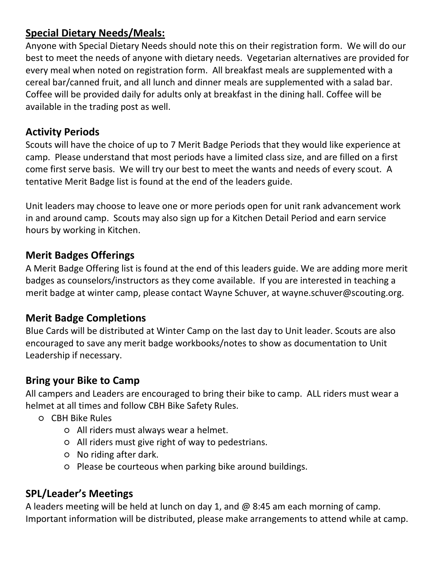### **Special Dietary Needs/Meals:**

Anyone with Special Dietary Needs should note this on their registration form. We will do our best to meet the needs of anyone with dietary needs. Vegetarian alternatives are provided for every meal when noted on registration form. All breakfast meals are supplemented with a cereal bar/canned fruit, and all lunch and dinner meals are supplemented with a salad bar. Coffee will be provided daily for adults only at breakfast in the dining hall. Coffee will be available in the trading post as well.

#### **Activity Periods**

Scouts will have the choice of up to 7 Merit Badge Periods that they would like experience at camp. Please understand that most periods have a limited class size, and are filled on a first come first serve basis. We will try our best to meet the wants and needs of every scout. A tentative Merit Badge list is found at the end of the leaders guide.

Unit leaders may choose to leave one or more periods open for unit rank advancement work in and around camp. Scouts may also sign up for a Kitchen Detail Period and earn service hours by working in Kitchen.

#### **Merit Badges Offerings**

A Merit Badge Offering list is found at the end of this leaders guide. We are adding more merit badges as counselors/instructors as they come available. If you are interested in teaching a merit badge at winter camp, please contact Wayne Schuver, at wayne.schuver@scouting.org.

#### **Merit Badge Completions**

Blue Cards will be distributed at Winter Camp on the last day to Unit leader. Scouts are also encouraged to save any merit badge workbooks/notes to show as documentation to Unit Leadership if necessary.

#### **Bring your Bike to Camp**

All campers and Leaders are encouraged to bring their bike to camp. ALL riders must wear a helmet at all times and follow CBH Bike Safety Rules.

- CBH Bike Rules
	- All riders must always wear a helmet.
	- All riders must give right of way to pedestrians.
	- No riding after dark.
	- Please be courteous when parking bike around buildings.

#### **SPL/Leader's Meetings**

A leaders meeting will be held at lunch on day 1, and  $@$  8:45 am each morning of camp. Important information will be distributed, please make arrangements to attend while at camp.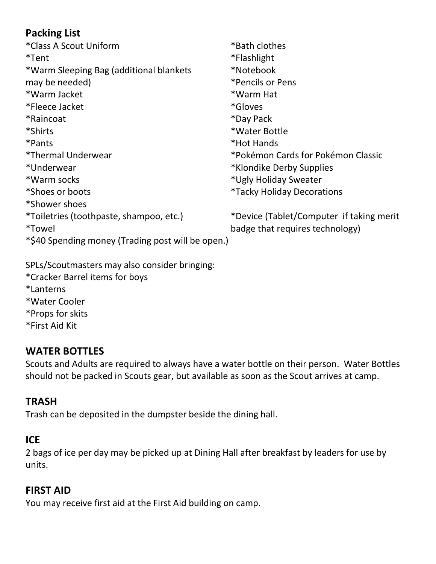### **Packing List**

| *Class A Scout Uniform                            | *Bath clothes                            |
|---------------------------------------------------|------------------------------------------|
| *Tent                                             | *Flashlight                              |
| *Warm Sleeping Bag (additional blankets           | *Notebook                                |
| may be needed)                                    | *Pencils or Pens                         |
| *Warm Jacket                                      | *Warm Hat                                |
| *Fleece Jacket                                    | *Gloves                                  |
| *Raincoat                                         | *Day Pack                                |
| *Shirts                                           | *Water Bottle                            |
| *Pants                                            | *Hot Hands                               |
| *Thermal Underwear                                | *Pokémon Cards for Pokémon Classic       |
| *Underwear                                        | *Klondike Derby Supplies                 |
| *Warm socks                                       | *Ugly Holiday Sweater                    |
| *Shoes or boots                                   | <i>*Tacky Holiday Decorations</i>        |
| *Shower shoes                                     |                                          |
| *Toiletries (toothpaste, shampoo, etc.)           | *Device (Tablet/Computer if taking merit |
| <i>*</i> Towel                                    | badge that requires technology)          |
| *\$40 Spending money (Trading post will be open.) |                                          |

SPLs/Scoutmasters may also consider bringing: \*Cracker Barrel items for boys \*Lanterns

\*Water Cooler \*Props for skits \*First Aid Kit

## **WATER BOTTLES**

Scouts and Adults are required to always have a water bottle on their person. Water Bottles should not be packed in Scouts gear, but available as soon as the Scout arrives at camp.

## **TRASH**

Trash can be deposited in the dumpster beside the dining hall.

#### **ICE**

2 bags of ice per day may be picked up at Dining Hall after breakfast by leaders for use by units.

#### **FIRST AID**

You may receive first aid at the First Aid building on camp.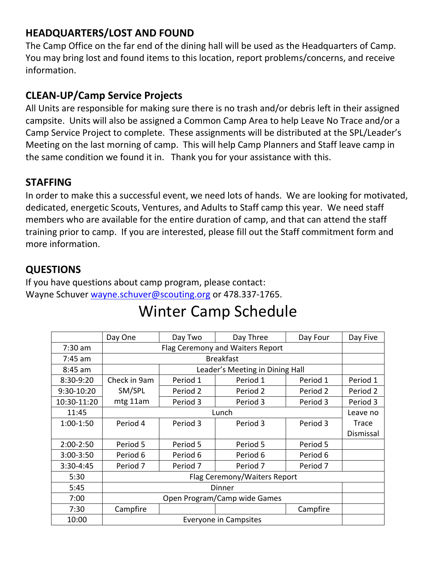### **HEADQUARTERS/LOST AND FOUND**

The Camp Office on the far end of the dining hall will be used as the Headquarters of Camp. You may bring lost and found items to this location, report problems/concerns, and receive information.

#### **CLEAN-UP/Camp Service Projects**

All Units are responsible for making sure there is no trash and/or debris left in their assigned campsite. Units will also be assigned a Common Camp Area to help Leave No Trace and/or a Camp Service Project to complete. These assignments will be distributed at the SPL/Leader's Meeting on the last morning of camp. This will help Camp Planners and Staff leave camp in the same condition we found it in. Thank you for your assistance with this.

#### **STAFFING**

In order to make this a successful event, we need lots of hands. We are looking for motivated, dedicated, energetic Scouts, Ventures, and Adults to Staff camp this year. We need staff members who are available for the entire duration of camp, and that can attend the staff training prior to camp. If you are interested, please fill out the Staff commitment form and more information.

#### **QUESTIONS**

If you have questions about camp program, please contact: Wayne Schuver [wayne.schuver@scouting.org](mailto:wayne.schuver@scouting.org) or 478.337-1765.

|                                       | Day One                      | Day Two                          | Day Three                       | Day Four | Day Five     |  |
|---------------------------------------|------------------------------|----------------------------------|---------------------------------|----------|--------------|--|
| $7:30$ am                             |                              | Flag Ceremony and Waiters Report |                                 |          |              |  |
| $7:45$ am                             |                              |                                  | <b>Breakfast</b>                |          |              |  |
| 8:45 am                               |                              |                                  | Leader's Meeting in Dining Hall |          |              |  |
| 8:30-9:20                             | Check in 9am                 | Period 1                         | Period 1                        | Period 1 | Period 1     |  |
| 9:30-10:20                            | SM/SPL                       | Period 2                         | Period 2                        | Period 2 | Period 2     |  |
| 10:30-11:20                           | mtg 11am                     | Period 3                         | Period 3                        | Period 3 | Period 3     |  |
| 11:45                                 | Lunch                        |                                  |                                 |          |              |  |
| 1:00-1:50                             | Period 4                     | Period 3                         | Period 3                        | Period 3 | <b>Trace</b> |  |
|                                       |                              |                                  |                                 |          |              |  |
| 2:00-2:50                             | Period 5                     | Period 5                         | Period 5                        | Period 5 |              |  |
| 3:00-3:50                             | Period 6                     | Period 6                         | Period 6                        | Period 6 |              |  |
| 3:30-4:45                             | Period 7                     | Period 7                         | Period 7                        | Period 7 |              |  |
| 5:30                                  | Flag Ceremony/Waiters Report |                                  |                                 |          |              |  |
| 5:45                                  | Dinner                       |                                  |                                 |          |              |  |
| 7:00                                  | Open Program/Camp wide Games |                                  |                                 |          |              |  |
| 7:30                                  | Campfire                     |                                  |                                 | Campfire |              |  |
| <b>Everyone in Campsites</b><br>10:00 |                              |                                  |                                 |          |              |  |

## Winter Camp Schedule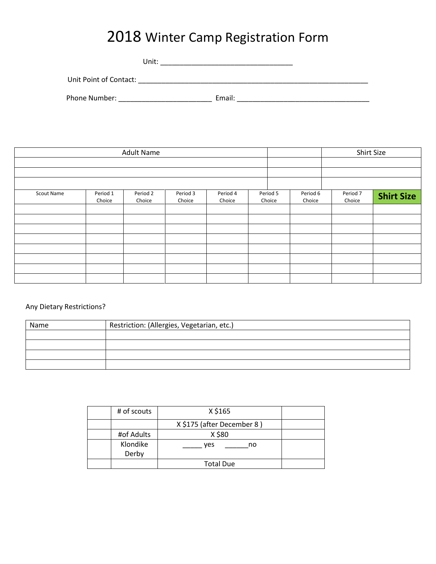## 2018 Winter Camp Registration Form

|                        | Unit: |        |  |
|------------------------|-------|--------|--|
| Unit Point of Contact: |       |        |  |
| Phone Number:          |       | Email: |  |

|            |          | <b>Adult Name</b> |          |          |          |          |          | Shirt Size        |
|------------|----------|-------------------|----------|----------|----------|----------|----------|-------------------|
| Scout Name | Period 1 | Period 2          | Period 3 | Period 4 | Period 5 | Period 6 | Period 7 |                   |
|            | Choice   | Choice            | Choice   | Choice   | Choice   | Choice   | Choice   | <b>Shirt Size</b> |
|            |          |                   |          |          |          |          |          |                   |
|            |          |                   |          |          |          |          |          |                   |
|            |          |                   |          |          |          |          |          |                   |
|            |          |                   |          |          |          |          |          |                   |

#### Any Dietary Restrictions?

| Name | Restriction: (Allergies, Vegetarian, etc.) |
|------|--------------------------------------------|
|      |                                            |
|      |                                            |
|      |                                            |
|      |                                            |

| # of scouts       | X \$165                    |  |
|-------------------|----------------------------|--|
|                   | X \$175 (after December 8) |  |
| #of Adults        | X \$80                     |  |
| Klondike<br>Derby | ves<br>no                  |  |
|                   | <b>Total Due</b>           |  |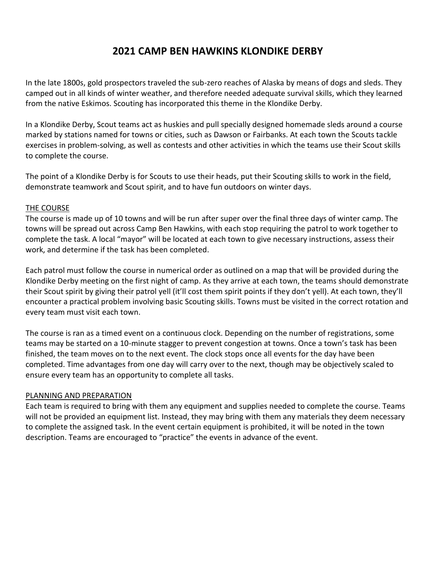#### **2021 CAMP BEN HAWKINS KLONDIKE DERBY**

In the late 1800s, gold prospectors traveled the sub-zero reaches of Alaska by means of dogs and sleds. They camped out in all kinds of winter weather, and therefore needed adequate survival skills, which they learned from the native Eskimos. Scouting has incorporated this theme in the Klondike Derby.

In a Klondike Derby, Scout teams act as huskies and pull specially designed homemade sleds around a course marked by stations named for towns or cities, such as Dawson or Fairbanks. At each town the Scouts tackle exercises in problem-solving, as well as contests and other activities in which the teams use their Scout skills to complete the course.

The point of a Klondike Derby is for Scouts to use their heads, put their Scouting skills to work in the field, demonstrate teamwork and Scout spirit, and to have fun outdoors on winter days.

#### THE COURSE

The course is made up of 10 towns and will be run after super over the final three days of winter camp. The towns will be spread out across Camp Ben Hawkins, with each stop requiring the patrol to work together to complete the task. A local "mayor" will be located at each town to give necessary instructions, assess their work, and determine if the task has been completed.

Each patrol must follow the course in numerical order as outlined on a map that will be provided during the Klondike Derby meeting on the first night of camp. As they arrive at each town, the teams should demonstrate their Scout spirit by giving their patrol yell (it'll cost them spirit points if they don't yell). At each town, they'll encounter a practical problem involving basic Scouting skills. Towns must be visited in the correct rotation and every team must visit each town.

The course is ran as a timed event on a continuous clock. Depending on the number of registrations, some teams may be started on a 10-minute stagger to prevent congestion at towns. Once a town's task has been finished, the team moves on to the next event. The clock stops once all events for the day have been completed. Time advantages from one day will carry over to the next, though may be objectively scaled to ensure every team has an opportunity to complete all tasks.

#### PLANNING AND PREPARATION

Each team is required to bring with them any equipment and supplies needed to complete the course. Teams will not be provided an equipment list. Instead, they may bring with them any materials they deem necessary to complete the assigned task. In the event certain equipment is prohibited, it will be noted in the town description. Teams are encouraged to "practice" the events in advance of the event.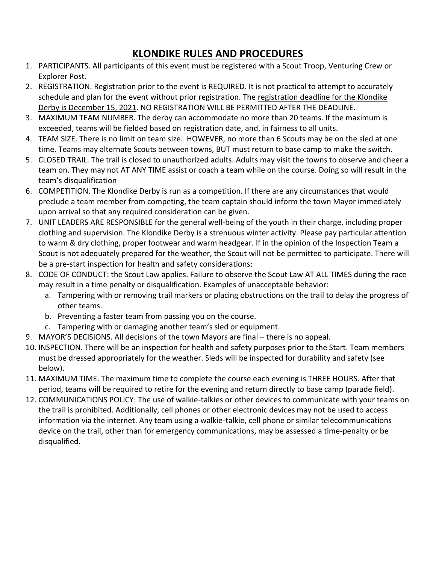### **KLONDIKE RULES AND PROCEDURES**

- 1. PARTICIPANTS. All participants of this event must be registered with a Scout Troop, Venturing Crew or Explorer Post.
- 2. REGISTRATION. Registration prior to the event is REQUIRED. It is not practical to attempt to accurately schedule and plan for the event without prior registration. The registration deadline for the Klondike Derby is December 15, 2021. NO REGISTRATION WILL BE PERMITTED AFTER THE DEADLINE.
- 3. MAXIMUM TEAM NUMBER. The derby can accommodate no more than 20 teams. If the maximum is exceeded, teams will be fielded based on registration date, and, in fairness to all units.
- 4. TEAM SIZE. There is no limit on team size. HOWEVER, no more than 6 Scouts may be on the sled at one time. Teams may alternate Scouts between towns, BUT must return to base camp to make the switch.
- 5. CLOSED TRAIL. The trail is closed to unauthorized adults. Adults may visit the towns to observe and cheer a team on. They may not AT ANY TIME assist or coach a team while on the course. Doing so will result in the team's disqualification
- 6. COMPETITION. The Klondike Derby is run as a competition. If there are any circumstances that would preclude a team member from competing, the team captain should inform the town Mayor immediately upon arrival so that any required consideration can be given.
- 7. UNIT LEADERS ARE RESPONSIBLE for the general well-being of the youth in their charge, including proper clothing and supervision. The Klondike Derby is a strenuous winter activity. Please pay particular attention to warm & dry clothing, proper footwear and warm headgear. If in the opinion of the Inspection Team a Scout is not adequately prepared for the weather, the Scout will not be permitted to participate. There will be a pre-start inspection for health and safety considerations:
- 8. CODE OF CONDUCT: the Scout Law applies. Failure to observe the Scout Law AT ALL TIMES during the race may result in a time penalty or disqualification. Examples of unacceptable behavior:
	- a. Tampering with or removing trail markers or placing obstructions on the trail to delay the progress of other teams.
	- b. Preventing a faster team from passing you on the course.
	- c. Tampering with or damaging another team's sled or equipment.
- 9. MAYOR'S DECISIONS. All decisions of the town Mayors are final there is no appeal.
- 10. INSPECTION. There will be an inspection for health and safety purposes prior to the Start. Team members must be dressed appropriately for the weather. Sleds will be inspected for durability and safety (see below).
- 11. MAXIMUM TIME. The maximum time to complete the course each evening is THREE HOURS. After that period, teams will be required to retire for the evening and return directly to base camp (parade field).
- 12. COMMUNICATIONS POLICY: The use of walkie-talkies or other devices to communicate with your teams on the trail is prohibited. Additionally, cell phones or other electronic devices may not be used to access information via the internet. Any team using a walkie-talkie, cell phone or similar telecommunications device on the trail, other than for emergency communications, may be assessed a time-penalty or be disqualified.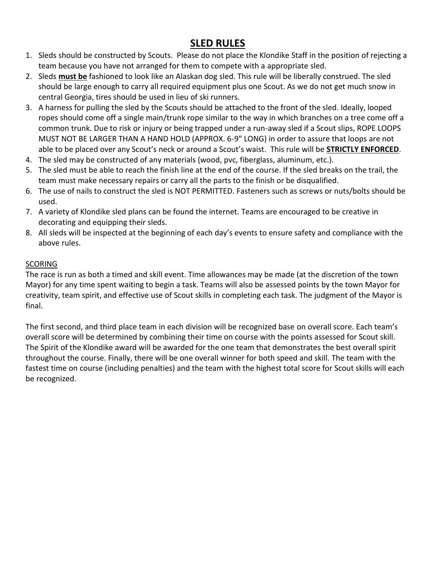#### **SLED RULES**

- 1. Sleds should be constructed by Scouts. Please do not place the Klondike Staff in the position of rejecting a team because you have not arranged for them to compete with a appropriate sled.
- 2. Sleds **must be** fashioned to look like an Alaskan dog sled. This rule will be liberally construed. The sled should be large enough to carry all required equipment plus one Scout. As we do not get much snow in central Georgia, tires should be used in lieu of ski runners.
- 3. A harness for pulling the sled by the Scouts should be attached to the front of the sled. Ideally, looped ropes should come off a single main/trunk rope similar to the way in which branches on a tree come off a common trunk. Due to risk or injury or being trapped under a run-away sled if a Scout slips, ROPE LOOPS MUST NOT BE LARGER THAN A HAND HOLD (APPROX. 6-9″ LONG) in order to assure that loops are not able to be placed over any Scout's neck or around a Scout's waist. This rule will be **STRICTLY ENFORCED**.
- 4. The sled may be constructed of any materials (wood, pvc, fiberglass, aluminum, etc.).
- 5. The sled must be able to reach the finish line at the end of the course. If the sled breaks on the trail, the team must make necessary repairs or carry all the parts to the finish or be disqualified.
- 6. The use of nails to construct the sled is NOT PERMITTED. Fasteners such as screws or nuts/bolts should be used.
- 7. A variety of Klondike sled plans can be found the internet. Teams are encouraged to be creative in decorating and equipping their sleds.
- 8. All sleds will be inspected at the beginning of each day's events to ensure safety and compliance with the above rules.

#### **SCORING**

The race is run as both a timed and skill event. Time allowances may be made (at the discretion of the town Mayor) for any time spent waiting to begin a task. Teams will also be assessed points by the town Mayor for creativity, team spirit, and effective use of Scout skills in completing each task. The judgment of the Mayor is final.

The first second, and third place team in each division will be recognized base on overall score. Each team's overall score will be determined by combining their time on course with the points assessed for Scout skill. The Spirit of the Klondike award will be awarded for the one team that demonstrates the best overall spirit throughout the course. Finally, there will be one overall winner for both speed and skill. The team with the fastest time on course (including penalties) and the team with the highest total score for Scout skills will each be recognized.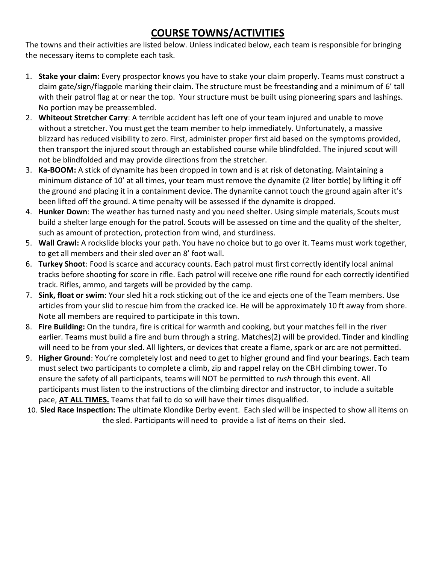#### **COURSE TOWNS/ACTIVITIES**

The towns and their activities are listed below. Unless indicated below, each team is responsible for bringing the necessary items to complete each task.

- 1. **Stake your claim:** Every prospector knows you have to stake your claim properly. Teams must construct a claim gate/sign/flagpole marking their claim. The structure must be freestanding and a minimum of 6' tall with their patrol flag at or near the top. Your structure must be built using pioneering spars and lashings. No portion may be preassembled.
- 2. **Whiteout Stretcher Carry**: A terrible accident has left one of your team injured and unable to move without a stretcher. You must get the team member to help immediately. Unfortunately, a massive blizzard has reduced visibility to zero. First, administer proper first aid based on the symptoms provided, then transport the injured scout through an established course while blindfolded. The injured scout will not be blindfolded and may provide directions from the stretcher.
- 3. **Ka-BOOM:** A stick of dynamite has been dropped in town and is at risk of detonating. Maintaining a minimum distance of 10' at all times, your team must remove the dynamite (2 liter bottle) by lifting it off the ground and placing it in a containment device. The dynamite cannot touch the ground again after it's been lifted off the ground. A time penalty will be assessed if the dynamite is dropped.
- 4. **Hunker Down**: The weather has turned nasty and you need shelter. Using simple materials, Scouts must build a shelter large enough for the patrol. Scouts will be assessed on time and the quality of the shelter, such as amount of protection, protection from wind, and sturdiness.
- 5. **Wall Crawl:** A rockslide blocks your path. You have no choice but to go over it. Teams must work together, to get all members and their sled over an 8' foot wall.
- 6. **Turkey Shoot**: Food is scarce and accuracy counts. Each patrol must first correctly identify local animal tracks before shooting for score in rifle. Each patrol will receive one rifle round for each correctly identified track. Rifles, ammo, and targets will be provided by the camp.
- 7. **Sink, float or swim**: Your sled hit a rock sticking out of the ice and ejects one of the Team members. Use articles from your slid to rescue him from the cracked ice. He will be approximately 10 ft away from shore. Note all members are required to participate in this town.
- 8. **Fire Building:** On the tundra, fire is critical for warmth and cooking, but your matches fell in the river earlier. Teams must build a fire and burn through a string. Matches(2) will be provided. Tinder and kindling will need to be from your sled. All lighters, or devices that create a flame, spark or arc are not permitted.
- 9. **Higher Ground**: You're completely lost and need to get to higher ground and find your bearings. Each team must select two participants to complete a climb, zip and rappel relay on the CBH climbing tower. To ensure the safety of all participants, teams will NOT be permitted to *rush* through this event. All participants must listen to the instructions of the climbing director and instructor, to include a suitable pace, **AT ALL TIMES.** Teams that fail to do so will have their times disqualified.
- 10. **Sled Race Inspection:** The ultimate Klondike Derby event. Each sled will be inspected to show all items on the sled. Participants will need to provide a list of items on their sled.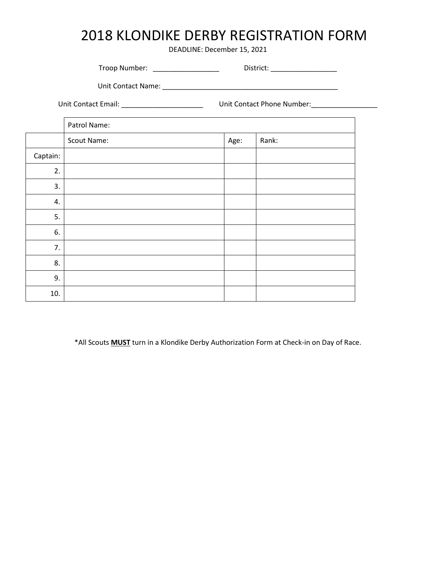## 2018 KLONDIKE DERBY REGISTRATION FORM

DEADLINE: December 15, 2021

| Troop Number: | District: |  |
|---------------|-----------|--|
|               |           |  |

Unit Contact Name: \_\_\_\_\_\_\_\_\_\_\_\_\_\_\_\_\_\_\_\_\_\_\_\_\_\_\_\_\_\_\_\_\_\_\_\_\_\_\_\_\_\_\_\_\_

Unit Contact Email: \_\_\_\_\_\_\_\_\_\_\_\_\_\_\_\_\_\_\_\_\_ Unit Contact Phone Number:\_\_\_\_\_\_\_\_\_\_\_\_\_\_\_\_\_

Patrol Name: Scout Name:  $\begin{array}{|c|c|c|c|c|}\n\hline\n\text{Scourt Name:} & \text{Age:} & \text{Rank:} \\
\hline\n\end{array}$ Captain: 2. 3. 4. 5. 6. 7. 8. 9. 10.

\*All Scouts **MUST** turn in a Klondike Derby Authorization Form at Check-in on Day of Race.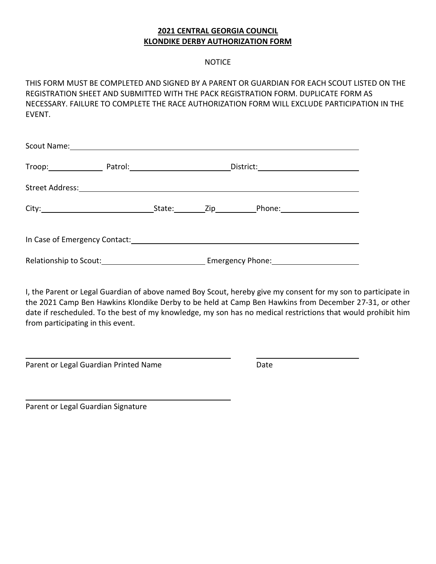#### **2021 CENTRAL GEORGIA COUNCIL KLONDIKE DERBY AUTHORIZATION FORM**

#### **NOTICE**

THIS FORM MUST BE COMPLETED AND SIGNED BY A PARENT OR GUARDIAN FOR EACH SCOUT LISTED ON THE REGISTRATION SHEET AND SUBMITTED WITH THE PACK REGISTRATION FORM. DUPLICATE FORM AS NECESSARY. FAILURE TO COMPLETE THE RACE AUTHORIZATION FORM WILL EXCLUDE PARTICIPATION IN THE EVENT.

| Troop: Patrol: Patrol: Patrol: Patrol: Patrol: Patrol: Patrol: Patrol: Patrol: Patrol: Patrol: Patrol: Patrol: Patrol: Patrol: Patrol: Patrol: Patrol: Patrol: Patrol: Patrol: Patrol: Patrol: Patrol: Patrol: Patrol: Patrol: |  |  |
|--------------------------------------------------------------------------------------------------------------------------------------------------------------------------------------------------------------------------------|--|--|
|                                                                                                                                                                                                                                |  |  |
|                                                                                                                                                                                                                                |  |  |
|                                                                                                                                                                                                                                |  |  |
|                                                                                                                                                                                                                                |  |  |

I, the Parent or Legal Guardian of above named Boy Scout, hereby give my consent for my son to participate in the 2021 Camp Ben Hawkins Klondike Derby to be held at Camp Ben Hawkins from December 27-31, or other date if rescheduled. To the best of my knowledge, my son has no medical restrictions that would prohibit him from participating in this event.

Parent or Legal Guardian Printed Name Date

Parent or Legal Guardian Signature